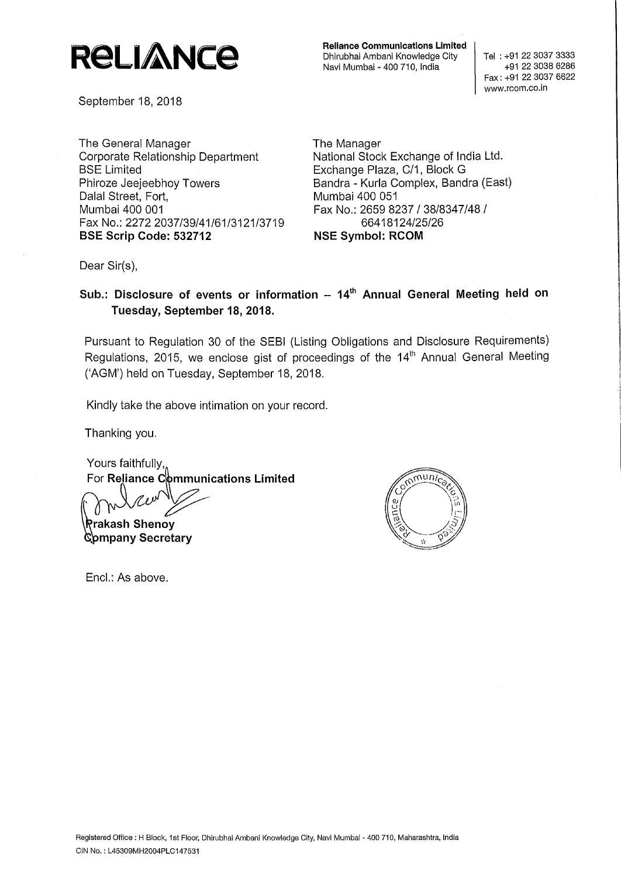# **R8LIA\Nce**

September 18, 2018

The General Manager Corporate Relationship Department BSE Limited Phiroze Jeejeebhoy Towers Dalal Street, Fort, Mumbai 400 001 Fax No.: 2272 2037/39/41/61/3121/3719 **BSE Scrip Code: 532712** 

**Reliance Communications Limited**  Dhirubhai Ambani Knowledge City Navi Mumbai - 400 710, India

Tel : +91 22 3037 3333 +91 22 3038 6286 Fax: +91 22 3037 6622 www.rcom.co.in

The Manager National Stock Exchange of India Ltd. Exchange Plaza, C/1, Block G Sandra - Kurla Complex, Sandra (East) Mumbai 400 051 Fax No.: 2659 8237 / 38/8347/48 I 66418124/25/26 **NSE Symbol: RCOM** 

Dear Sir(s),

**Sub.: Disclosure of events or information - 14th Annual General Meeting held on Tuesday, September 18, 2018.** 

Pursuant to Regulation 30 of the SEBI (Listing Obligations and Disclosure Requirements) Regulations, 2015, we enclose gist of proceedings of the 14<sup>th</sup> Annual General Meeting ('AGM') held on Tuesday, September 18, 2018.

Kindly take the above intimation on your record.

Thanking you.

Yours faithfully, For **Reliance Communications Limited** 

Prakash Shenov Company Secretary



Encl.: As above.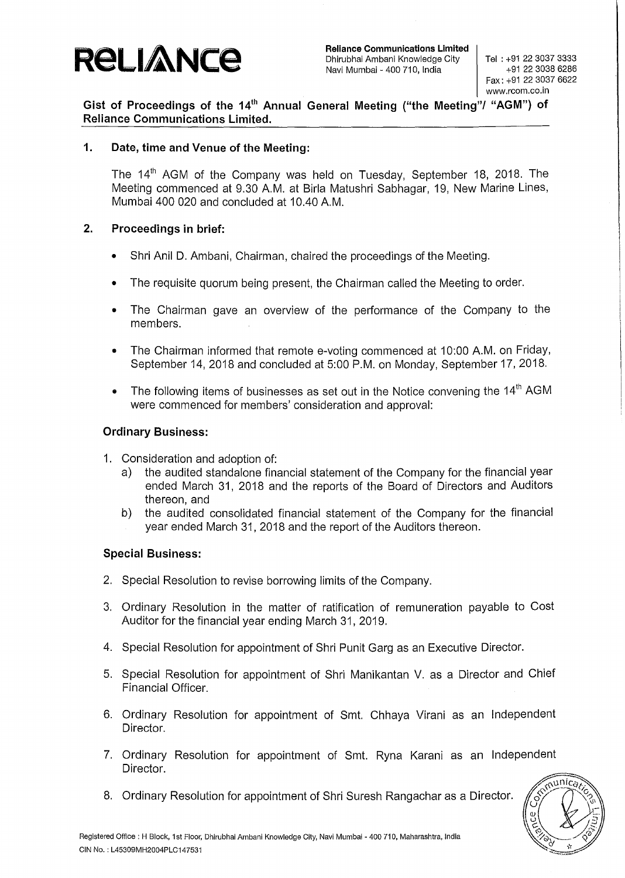

Tel : +91 22 3037 3333 +91 22 3038 6286 Fax: +91 22 3037 6622 www.rcom.co.in

**Gist of Proceedings of the 14th Annual General Meeting ("the Meeting"/ "AGM") of Reliance Communications Limited.** 

### **1. Date, time and Venue of the Meeting:**

The 14<sup>th</sup> AGM of the Company was held on Tuesday, September 18, 2018. The Meeting commenced at 9.30 A.M. at Birla Matushri Sabhagar, 19, New Marine Lines, Mumbai 400 020 and concluded at 10.40 A.M.

### **2. Proceedings in brief:**

- Shri Anil D. Ambani, Chairman, chaired the proceedings of the Meeting.
- The requisite quorum being present, the Chairman called the Meeting to order.
- The Chairman gave an overview of the performance of the Company to the members.
- The Chairman informed that remote e-voting commenced at 10:00 A.M. on Friday, September 14, 2018 and concluded at 5:00 P.M. on Monday, September 17, 2018.
- The following items of businesses as set out in the Notice convening the  $14<sup>th</sup>$  AGM were commenced for members' consideration and approval:

### **Ordinary Business:**

- 1. Consideration and adoption of:
	- a) the audited standalone financial statement of the Company for the financial year ended March 31, 2018 and the reports of the Board of Directors and Auditors thereon, and
	- b) the audited consolidated financial statement of the Company for the financial year ended March 31, 2018 and the report of the Auditors thereon.

#### **Special Business:**

- 2. Special Resolution to revise borrowing limits of the Company.
- 3. Ordinary Resolution in the matter of ratification of remuneration payable to Cost Auditor for the financial year ending March 31, 2019.
- 4. Special Resolution for appointment of Shri Punit Garg as an Executive Director.
- 5. Special Resolution for appointment of Shri Manikantan V. as a Director and Chief Financial Officer.
- 6. Ordinary Resolution for appointment of Smt. Chhaya Virani as an Independent Director.
- 7. Ordinary Resolution for appointment of Smt. Ryna Karani as an Independent Director.
- 8. Ordinary Resolution for appointment of Shri Suresh Rangachar as a Director.

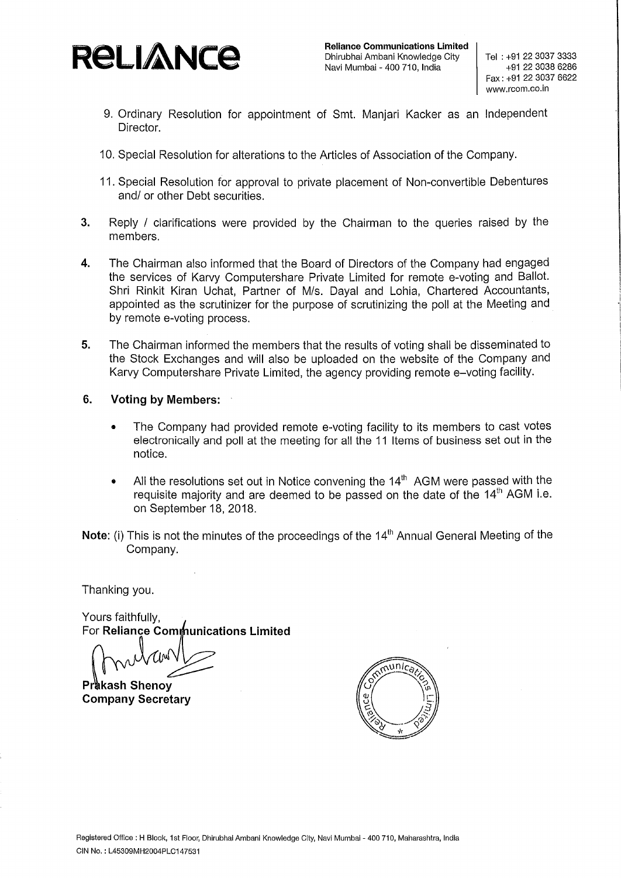

- 9. Ordinary Resolution for appointment of Smt. Manjari Kacker as an Independent Director.
- 10. Special Resolution for alterations to the Articles of Association of the Company.
- 11. Special Resolution for approval to private placement of Non-convertible Debentures and/ or other Debt securities.
- **3.** Reply / clarifications were provided by the Chairman to the queries raised by the members.
- **4.** The Chairman also informed that the Board of Directors of the Company had engaged the services of Karvy Computershare Private Limited for remote e-voting and Ballot. Shri Rinkit Kiran Uchat, Partner of M/s. Dayal and Lohia, Chartered Accountants, appointed as the scrutinizer for the purpose of scrutinizing the poll at the Meeting and by remote e-voting process.
- **5.** The Chairman informed the members that the results of voting shall be disseminated to the Stock Exchanges and will also be uploaded on the website of the Company and Karvy Computershare Private Limited, the agency providing remote e-voting facility.
- **6. Voting by Members:** 
	- The Company had provided remote e-voting facility to its members to cast votes electronically and poll at the meeting for all the 11 Items of business set out in the notice.
	- All the resolutions set out in Notice convening the  $14<sup>th</sup>$  AGM were passed with the requisite majority and are deemed to be passed on the date of the  $14<sup>th</sup>$  AGM i.e. on September 18, 2018.
- **Note:** (i) This is not the minutes of the proceedings of the 14<sup>th</sup> Annual General Meeting of the Company.

Thanking you.

Yours faithfully, For **Reliance Communications Limited** 

**Prakash Shenov Company Secretary** 

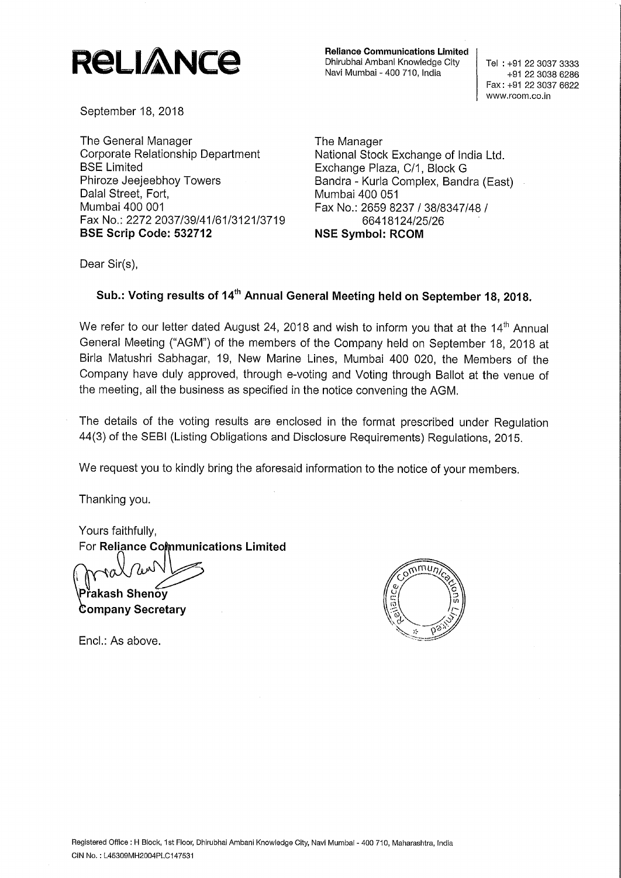## **ReLIANCE** Reliance Communications Limited Dhirubhai Ambani Knowledge City

Dhirubhai Ambanl Knowledge City

Navi Mumbai - 400 710, India

Tel: +91 22 3037 3333 +91 22 3038 6286 Fax: +91 22 3037 6622 www.rcom.co.in

September 18, 2018

The General Manager Corporate Relationship Department BSE Limited Phiroze Jeejeebhoy Towers Dalal Street, Fort, Mumbai 400 001 Fax No.: 2272 2037/39/41/61/3121/3719 **BSE Scrip Code: 532712** 

The Manager National Stock Exchange of India Ltd. Exchange Plaza, C/1, Block G Bandra - Kurla Complex, Bandra (East) Mumbai 400 051 Fax No.: 2659 8237 / 38/8347/48 / 66418124/25/26 **NSE Symbol: RCOM** 

Dear Sir(s),

## **Sub.: Voting results of 14th Annual General Meeting held on September 18, 2018.**

We refer to our letter dated August 24, 2018 and wish to inform you that at the  $14<sup>th</sup>$  Annual General Meeting ("AGM") of the members of the Company held on September 18, 2018 at Birla Matushri Sabhagar, 19, New Marine Lines, Mumbai 400 020, the Members of the Company have duly approved, through e-voting and Voting through Ballot at the venue of the meeting, all the business as specified in the notice convening the AGM.

The details of the voting results are enclosed in the format prescribed under Regulation 44(3) of the SEBI (Listing Obligations and Disclosure Requirements) Regulations, 2015.

We request you to kindly bring the aforesaid information to the notice of your members.

Thanking you.

Yours faithfully, **For Reliance Communications Limited** 

1 <sup>2</sup>řakash Shenov --

**Company Secretary** 

Encl.: As above.

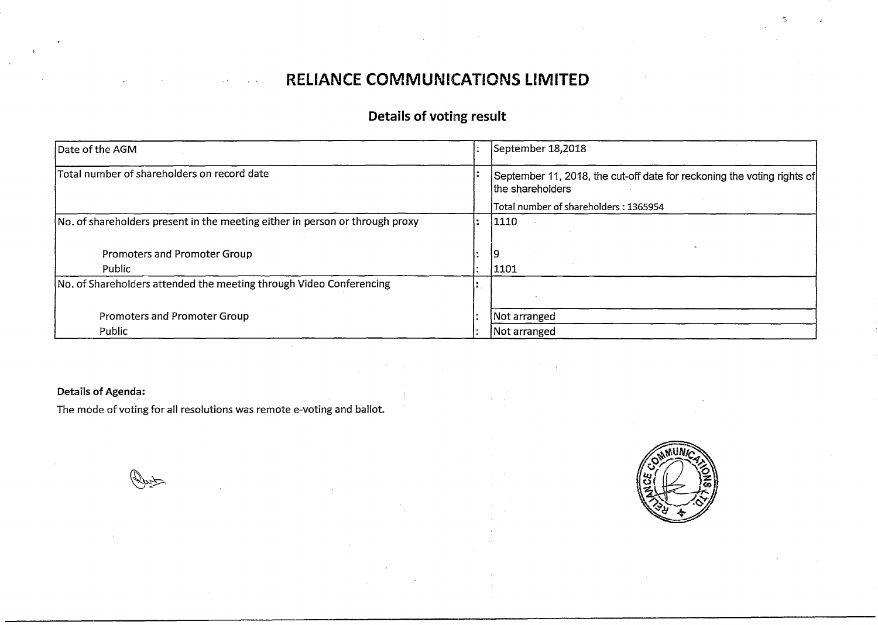## **RELIANCE COMMUNICATIONS LIMITED**

## **Details of voting result**

| Date of the AGM                                                              | September 18,2018                                                                           |
|------------------------------------------------------------------------------|---------------------------------------------------------------------------------------------|
| Total number of shareholders on record date                                  | September 11, 2018, the cut-off date for reckoning the voting rights of<br>the shareholders |
|                                                                              | Total number of shareholders: 1365954                                                       |
| No. of shareholders present in the meeting either in person or through proxy | 1110                                                                                        |
|                                                                              |                                                                                             |
| Promoters and Promoter Group                                                 |                                                                                             |
| Public                                                                       | 1101                                                                                        |
| No. of Shareholders attended the meeting through Video Conferencing          |                                                                                             |
|                                                                              |                                                                                             |
| Promoters and Promoter Group                                                 | Not arranged                                                                                |
| Public                                                                       | Not arranged                                                                                |

## **Details of Agenda:**

The mode of voting for all resolutions was remote e-voting and ballot.

( Rust)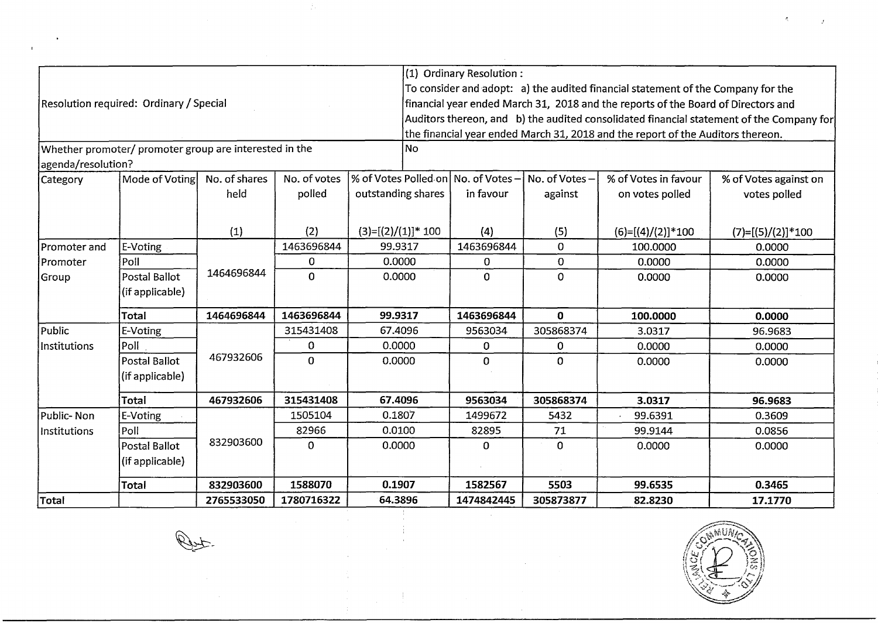|                    |                                                        |               |              |                                     | (1) Ordinary Resolution: |                |                                                                                   |                                                                                          |
|--------------------|--------------------------------------------------------|---------------|--------------|-------------------------------------|--------------------------|----------------|-----------------------------------------------------------------------------------|------------------------------------------------------------------------------------------|
|                    |                                                        |               |              |                                     |                          |                | To consider and adopt: a) the audited financial statement of the Company for the  |                                                                                          |
|                    | Resolution required: Ordinary / Special                |               |              |                                     |                          |                | financial year ended March 31, 2018 and the reports of the Board of Directors and |                                                                                          |
|                    |                                                        |               |              |                                     |                          |                |                                                                                   | Auditors thereon, and b) the audited consolidated financial statement of the Company for |
|                    |                                                        |               |              |                                     |                          |                | the financial year ended March 31, 2018 and the report of the Auditors thereon.   |                                                                                          |
|                    | Whether promoter/ promoter group are interested in the |               |              | No                                  |                          |                |                                                                                   |                                                                                          |
| agenda/resolution? |                                                        |               |              |                                     |                          |                |                                                                                   |                                                                                          |
| Category           | Mode of Voting                                         | No. of shares | No. of votes | % of Votes Polled on No. of Votes - |                          | No. of Votes – | % of Votes in favour                                                              | % of Votes against on                                                                    |
|                    |                                                        | held          | polled       | outstanding shares                  | in favour                | against        | on votes polled                                                                   | votes polled                                                                             |
|                    |                                                        |               |              |                                     |                          |                |                                                                                   |                                                                                          |
|                    |                                                        | (1)           | (2)          | $(3)=[(2)/(1)]$ * 100               | (4)                      | (5)            | $(6)=[(4)/(2)]*100$                                                               | $(7)=[(5)/(2)]*100$                                                                      |
| Promoter and       | E-Voting                                               |               | 1463696844   | 99.9317                             | 1463696844               | $\mathbf{0}$   | 100.0000                                                                          | 0.0000                                                                                   |
| Promoter           | Poll                                                   |               | 0            | 0.0000                              | 0                        | $\mathbf{O}$   | 0.0000                                                                            | 0.0000                                                                                   |
| Group              | Postal Ballot                                          | 1464696844    | $\mathbf 0$  | 0.0000                              | 0                        | $\mathbf 0$    | 0.0000                                                                            | 0.0000                                                                                   |
|                    | (if applicable)                                        |               |              |                                     |                          |                |                                                                                   |                                                                                          |
|                    | Total                                                  | 1464696844    | 1463696844   | 99.9317                             | 1463696844               | $\mathbf{0}$   | 100.0000                                                                          | 0.0000                                                                                   |
| Public             | E-Voting                                               |               | 315431408    | 67.4096                             | 9563034                  | 305868374      | 3.0317                                                                            | 96.9683                                                                                  |
| Institutions       | Poll                                                   |               | 0            | 0.0000                              | 0                        | $\Omega$       | 0.0000                                                                            | 0.0000                                                                                   |
|                    | Postal Ballot                                          | 467932606     | $\Omega$     | 0.0000                              | 0                        | $\Omega$       | 0.0000                                                                            | 0.0000                                                                                   |
|                    | (if applicable)                                        |               |              |                                     |                          |                |                                                                                   |                                                                                          |
|                    | Total                                                  | 467932606     | 315431408    | 67.4096                             | 9563034                  | 305868374      | 3.0317                                                                            | 96.9683                                                                                  |
| Public-Non         | E-Voting                                               |               | 1505104      | 0.1807                              | 1499672                  | 5432           | 99.6391                                                                           | 0.3609                                                                                   |
| Institutions       | Poll                                                   |               | 82966        | 0.0100                              | 82895                    | 71             | 99.9144                                                                           | 0.0856                                                                                   |
|                    | Postal Ballot                                          | 832903600     | $\mathbf 0$  | 0.0000                              | $\mathbf{O}$             | $\mathbf 0$    | 0.0000                                                                            | 0.0000                                                                                   |
|                    | (if applicable)                                        |               |              |                                     |                          |                |                                                                                   |                                                                                          |
|                    | Total                                                  | 832903600     | 1588070      | 0.1907                              | 1582567                  | 5503           | 99.6535                                                                           | 0.3465                                                                                   |
| Total              |                                                        | 2765533050    | 1780716322   | 64.3896                             | 1474842445               | 305873877      | 82.8230                                                                           | 17.1770                                                                                  |

 $\bar{\alpha}$ 

 $\sim 3\%$ 

**Put.** 

 $\mathcal{F}_\mathcal{G}$ 

 $\mathbf{r}$ 



 $\tilde{\mathcal{R}}_j$ 

 $\mathcal{L}^{\text{max}}$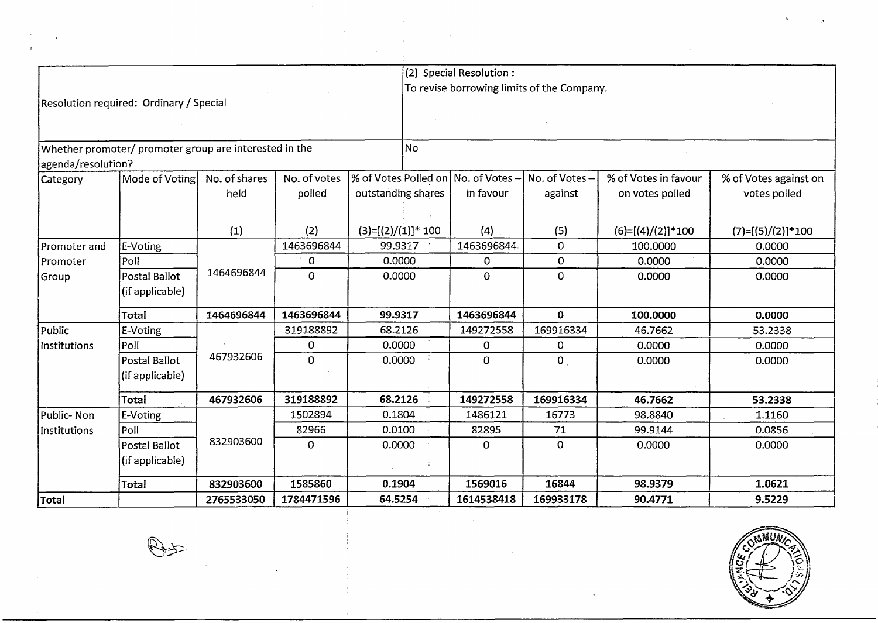|                    |                                                        |               |              |                                     | (2) Special Resolution: |                                            |                      |                       |
|--------------------|--------------------------------------------------------|---------------|--------------|-------------------------------------|-------------------------|--------------------------------------------|----------------------|-----------------------|
|                    |                                                        |               |              |                                     |                         | To revise borrowing limits of the Company. |                      |                       |
|                    | Resolution required: Ordinary / Special                |               |              |                                     |                         |                                            |                      |                       |
|                    |                                                        |               |              |                                     |                         |                                            |                      |                       |
|                    |                                                        |               |              |                                     |                         |                                            |                      |                       |
|                    | Whether promoter/ promoter group are interested in the |               |              | No.                                 |                         |                                            |                      |                       |
| agenda/resolution? |                                                        |               |              |                                     |                         |                                            |                      |                       |
| Category           | Mode of Voting                                         | No. of shares | No. of votes | % of Votes Polled on No. of Votes - |                         | No. of Votes-                              | % of Votes in favour | % of Votes against on |
|                    |                                                        | held          | polled       | outstanding shares                  | in favour               | against                                    | on votes polled      | votes polled          |
|                    |                                                        |               |              |                                     |                         |                                            |                      |                       |
|                    |                                                        | (1)           | (2)          | $(3)=[(2)/(1)]*100$                 | (4)                     | (5)                                        | $(6)=[(4)/(2)]*100$  | $(7)=[(5)/(2)]*100$   |
| Promoter and       | E-Voting                                               |               | 1463696844   | 99.9317                             | 1463696844              | $\mathbf{0}$                               | 100.0000             | 0.0000                |
| Promoter           | Poll                                                   | 1464696844    | $\mathbf 0$  | 0.0000                              | $\mathbf 0$             | $\mathbf 0$                                | 0.0000               | 0.0000                |
| Group              | Postal Ballot                                          |               | $\Omega$     | 0.0000                              | $\mathbf{O}$            | $\mathbf{0}$                               | 0.0000               | 0.0000                |
|                    | (if applicable)                                        |               |              |                                     |                         |                                            |                      |                       |
|                    | <b>Total</b>                                           | 1464696844    | 1463696844   | 99.9317                             | 1463696844              | $\mathbf{O}$                               | 100.0000             | 0.0000                |
| Public             | E-Voting                                               |               | 319188892    | 68.2126                             | 149272558               | 169916334                                  | 46.7662              | 53.2338               |
| Institutions       | Poll                                                   |               | 0            | 0.0000                              | 0                       | 0                                          | 0.0000               | 0.0000                |
|                    | Postal Ballot                                          | 467932606     | $\mathbf 0$  | 0.0000                              | $\overline{0}$          | $\mathbf 0$                                | 0.0000               | 0.0000                |
|                    | (if applicable)                                        |               |              |                                     |                         |                                            |                      |                       |
|                    | <b>Total</b>                                           | 467932606     | 319188892    | 68.2126                             | 149272558               | 169916334                                  | 46.7662              | 53.2338               |
| Public-Non         | E-Voting                                               |               | 1502894      | 0.1804                              | 1486121                 | 16773                                      | 98.8840              | 1.1160                |
| Institutions       | Poll                                                   |               | 82966        | 0.0100                              | 82895                   | 71                                         | 99.9144              | 0.0856                |
|                    | Postal Ballot                                          | 832903600     | $\Omega$     | 0.0000                              | 0                       | $\mathbf 0$                                | 0.0000               | 0.0000                |
|                    | (if applicable)                                        |               |              |                                     |                         |                                            |                      |                       |
|                    | <b>Total</b>                                           | 832903600     | 1585860      | 0.1904                              | 1569016                 | 16844                                      | 98.9379              | 1.0621                |
| Total              |                                                        | 2765533050    | 1784471596   | 64.5254                             | 1614538418              | 169933178                                  | 90.4771              | 9.5229                |

 $\pm$ 



 $\label{eq:3.1} \mathcal{F}^{\text{max}}_{\text{max}}(\mathcal{F}^{\text{max}}_{\text{max}},\mathcal{F}^{\text{max}}_{\text{max}}), \mathcal{F}^{\text{max}}_{\text{max}}(\mathcal{F}^{\text{max}}_{\text{max}}), \mathcal{F}^{\text{max}}_{\text{max}})$ 

**Paul** 

 $\omega_{\rm{max}}$ 

 $\mathbf{r}$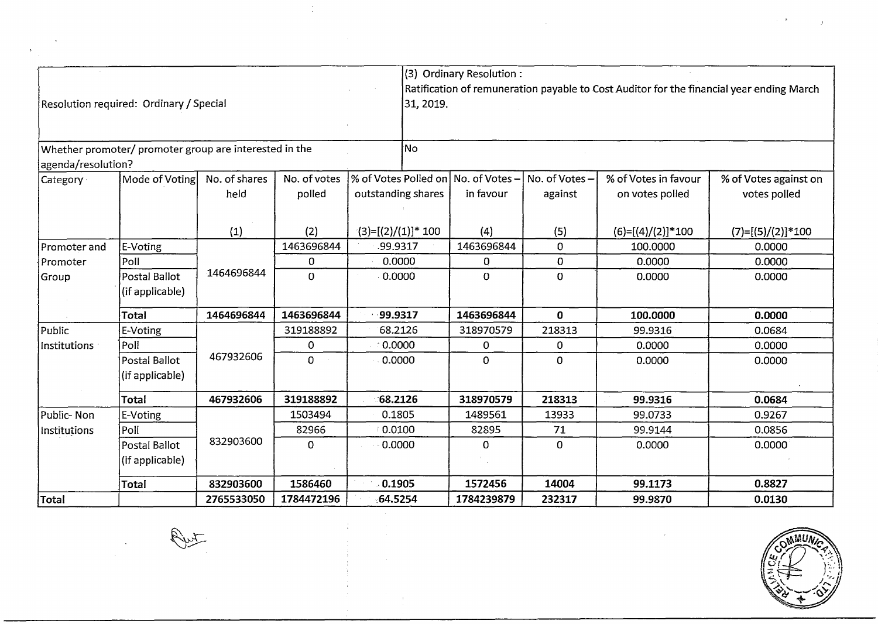|                    |                                                        |               |              |                                     | (3) Ordinary Resolution: |               |                      |                                                                                          |
|--------------------|--------------------------------------------------------|---------------|--------------|-------------------------------------|--------------------------|---------------|----------------------|------------------------------------------------------------------------------------------|
|                    |                                                        |               |              |                                     |                          |               |                      | Ratification of remuneration payable to Cost Auditor for the financial year ending March |
|                    | Resolution required: Ordinary / Special                |               |              | 31, 2019.                           |                          |               |                      |                                                                                          |
|                    |                                                        |               |              |                                     |                          |               |                      |                                                                                          |
|                    |                                                        |               |              |                                     |                          |               |                      |                                                                                          |
| agenda/resolution? | Whether promoter/ promoter group are interested in the |               |              | lNo ∣                               |                          |               |                      |                                                                                          |
| Category           | Mode of Voting                                         | No. of shares | No. of votes | % of Votes Polled on No. of Votes - |                          | No. of Votes- | % of Votes in favour | % of Votes against on                                                                    |
|                    |                                                        | held          | polled       | outstanding shares                  | in favour                | against       | on votes polled      | votes polled                                                                             |
|                    |                                                        |               |              |                                     |                          |               |                      |                                                                                          |
|                    |                                                        | (1)           | (2)          | $(3)=[(2)/(1)]*100$                 | (4)                      | (5)           | $(6)=[(4)/(2)]*100$  | $(7)=[(5)/(2)]*100$                                                                      |
| Promoter and       | E-Voting                                               |               | 1463696844   | 99.9317                             | 1463696844               | $\Omega$      | 100.0000             | 0.0000                                                                                   |
| Promoter           | Poll                                                   |               | $\Omega$     | 0.0000                              | 0                        | 0             | 0.0000               | 0.0000                                                                                   |
| Group              | Postal Ballot                                          | 1464696844    | $\mathbf{O}$ | 0.0000                              | 0                        | $\bf{0}$      | 0.0000               | 0.0000                                                                                   |
|                    | (if applicable)                                        |               |              |                                     |                          |               |                      |                                                                                          |
|                    | Total                                                  | 1464696844    | 1463696844   | 99.9317                             | 1463696844               | $\mathbf{0}$  | 100.0000             | 0.0000                                                                                   |
| Public             | E-Voting                                               |               | 319188892    | 68.2126                             | 318970579                | 218313        | 99.9316              | 0.0684                                                                                   |
| Institutions       | Poll                                                   |               | 0            | 0.0000                              | 0                        | 0             | 0.0000               | 0.0000                                                                                   |
|                    | <b>Postal Ballot</b>                                   | 467932606     | $\mathbf 0$  | 0.0000                              | 0                        | $\Omega$      | 0.0000               | 0.0000                                                                                   |
|                    | (if applicable)                                        |               |              |                                     |                          |               |                      |                                                                                          |
|                    | <b>Total</b>                                           | 467932606     | 319188892    | 68.2126                             | 318970579                | 218313        | 99.9316              | 0.0684                                                                                   |
| Public-Non         | E-Voting                                               |               | 1503494      | 0.1805                              | 1489561                  | 13933         | 99.0733              | 0.9267                                                                                   |
| Institutions       | Poll                                                   |               | 82966        | 0.0100                              | 82895                    | 71            | 99.9144              | 0.0856                                                                                   |
|                    | Postal Ballot                                          | 832903600     | 0            | $-0.0000$                           | 0                        | 0             | 0.0000               | 0.0000                                                                                   |
|                    | (if applicable)                                        |               |              |                                     |                          |               |                      |                                                                                          |
|                    | <b>Total</b>                                           | 832903600     | 1586460      | 0.1905                              | 1572456                  | 14004         | 99.1173              | 0.8827                                                                                   |
| Total              |                                                        | 2765533050    | 1784472196   | 64.5254                             | 1784239879               | 232317        | 99.9870              | 0.0130                                                                                   |

 $\frac{1}{2}$ 

 $\frac{1}{2}$ 

 $\label{eq:2.1} \begin{split} \mathcal{L}_{\text{max}}(\mathbf{r}) & = \frac{1}{2} \mathcal{L}_{\text{max}}(\mathbf{r}) \mathcal{L}_{\text{max}}(\mathbf{r}) \\ & = \frac{1}{2} \mathcal{L}_{\text{max}}(\mathbf{r}) \mathcal{L}_{\text{max}}(\mathbf{r}) \mathcal{L}_{\text{max}}(\mathbf{r}) \mathcal{L}_{\text{max}}(\mathbf{r}) \mathcal{L}_{\text{max}}(\mathbf{r}) \mathcal{L}_{\text{max}}(\mathbf{r}) \mathcal{L}_{\text{max}}(\mathbf{r}) \mathcal{L}_{\text{max}}(\mathbf{r})$ 

 $\sim 10$ 



 $\hat{J}$ 

 $\label{eq:2.1} \frac{1}{\left(1+\frac{1}{2}\right)}\left(\frac{1}{\sqrt{2}}\right)^2\left(\frac{1}{\sqrt{2}}\right)^2\left(\frac{1}{\sqrt{2}}\right)^2\left(\frac{1}{\sqrt{2}}\right)^2.$ 

Put

 $\frac{1}{\sqrt{2}}\sum_{i=1}^{n-1}\frac{1}{i} \sum_{j=1}^{n-1} \frac{1}{j} \sum_{j=1}^{n-1} \frac{1}{j} \sum_{j=1}^{n-1} \frac{1}{j} \sum_{j=1}^{n-1} \frac{1}{j} \sum_{j=1}^{n-1} \frac{1}{j} \sum_{j=1}^{n-1} \frac{1}{j} \sum_{j=1}^{n-1} \frac{1}{j} \sum_{j=1}^{n-1} \frac{1}{j} \sum_{j=1}^{n-1} \frac{1}{j} \sum_{j=1}^{n-1} \frac{1}{j} \sum$ 

 $\label{eq:2.1} \frac{1}{\sqrt{2\pi}}\sum_{i=1}^n\frac{1}{\sqrt{2\pi}}\sum_{i=1}^n\frac{1}{\sqrt{2\pi}}\sum_{i=1}^n\frac{1}{\sqrt{2\pi}}\sum_{i=1}^n\frac{1}{\sqrt{2\pi}}\sum_{i=1}^n\frac{1}{\sqrt{2\pi}}\sum_{i=1}^n\frac{1}{\sqrt{2\pi}}\sum_{i=1}^n\frac{1}{\sqrt{2\pi}}\sum_{i=1}^n\frac{1}{\sqrt{2\pi}}\sum_{i=1}^n\frac{1}{\sqrt{2\pi}}\sum_{i=1}^n\$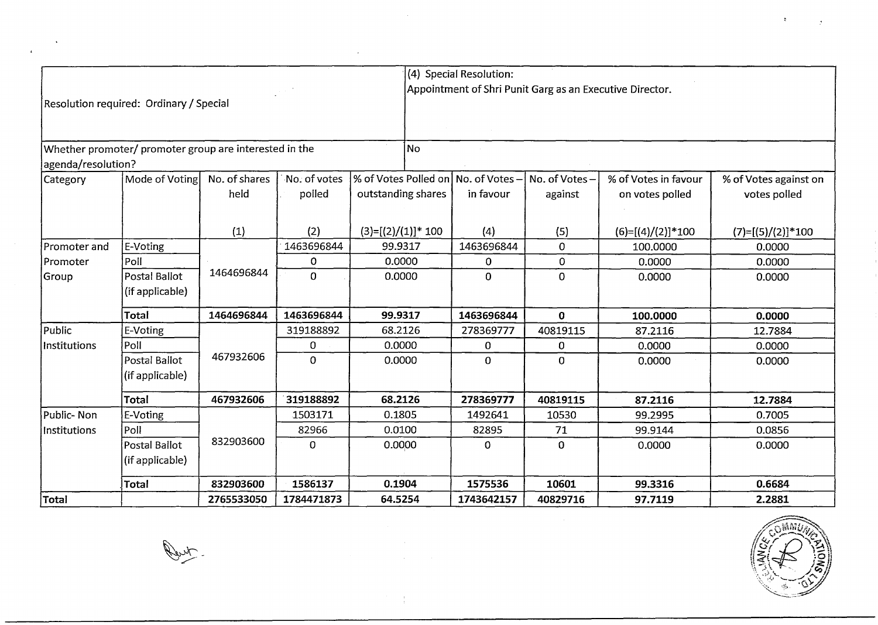|                    |                                                        |               |                |                       |           | (4) Special Resolution:             |                                                          |                      |                       |
|--------------------|--------------------------------------------------------|---------------|----------------|-----------------------|-----------|-------------------------------------|----------------------------------------------------------|----------------------|-----------------------|
|                    |                                                        |               |                |                       |           |                                     | Appointment of Shri Punit Garg as an Executive Director. |                      |                       |
|                    | Resolution required: Ordinary / Special                |               |                |                       |           |                                     |                                                          |                      |                       |
|                    |                                                        |               |                |                       |           |                                     |                                                          |                      |                       |
|                    | Whether promoter/ promoter group are interested in the |               |                |                       | <b>No</b> |                                     |                                                          |                      |                       |
| agenda/resolution? |                                                        |               |                |                       |           |                                     |                                                          |                      |                       |
| Category           | Mode of Voting                                         | No. of shares | No. of votes   |                       |           | % of Votes Polled on No. of Votes - | No. of Votes-                                            | % of Votes in favour | % of Votes against on |
|                    |                                                        | held          | polled         | outstanding shares    |           | in favour                           | against                                                  | on votes polled      | votes polled          |
|                    |                                                        |               |                |                       |           |                                     |                                                          |                      |                       |
|                    |                                                        | (1)           | (2)            | $(3)=[(2)/(1)]$ * 100 |           | (4)                                 | (5)                                                      | $(6)=[(4)/(2)]*100$  | $(7)=[(5)/(2)]*100$   |
| Promoter and       | E-Voting                                               |               | 1463696844     | 99.9317               |           | 1463696844                          | $\mathbf{0}$                                             | 100.0000             | 0.0000                |
| lPromoter          | Poll                                                   |               | 0              | 0.0000                |           | $\mathbf{0}$                        | 0                                                        | 0.0000               | 0.0000                |
| Group              | Postal Ballot                                          | 1464696844    | $\overline{0}$ | 0.0000                |           | 0                                   | $\overline{0}$                                           | 0.0000               | 0.0000                |
|                    | (if applicable)                                        |               |                |                       |           |                                     |                                                          |                      |                       |
|                    | Total                                                  | 1464696844    | 1463696844     | 99.9317               |           | 1463696844                          | 0                                                        | 100.0000             | 0.0000                |
| Public             | E-Voting                                               |               | 319188892      | 68.2126               |           | 278369777                           | 40819115                                                 | 87.2116              | 12.7884               |
| Institutions       | Poll                                                   |               | 0              | 0.0000                |           | $\mathbf 0$                         | 0                                                        | 0.0000               | 0.0000                |
|                    | Postal Ballot                                          | 467932606     | $\Omega$       | 0.0000                |           | $\mathbf 0$                         | 0                                                        | 0.0000               | 0.0000                |
|                    | (if applicable)                                        |               |                |                       |           |                                     |                                                          |                      |                       |
|                    | Total                                                  | 467932606     | 319188892      | 68.2126               |           | 278369777                           | 40819115                                                 | 87.2116              | 12.7884               |
| Public-Non         | E-Voting                                               |               | 1503171        | 0.1805                |           | 1492641                             | 10530                                                    | 99.2995              | 0.7005                |
| Institutions       | Poll                                                   |               | 82966          | 0.0100                |           | 82895                               | 71                                                       | 99.9144              | 0.0856                |
|                    | Postal Ballot                                          | 832903600     | $\Omega$       | 0.0000                |           | $\mathbf 0$                         | $\Omega$                                                 | 0.0000               | 0.0000                |
|                    | (if applicable)                                        |               |                |                       |           |                                     |                                                          |                      |                       |
|                    | <b>Total</b>                                           | 832903600     | 1586137        | 0.1904                |           | 1575536                             | 10601                                                    | 99.3316              | 0.6684                |
| Total              |                                                        | 2765533050    | 1784471873     | 64.5254               |           | 1743642157                          | 40829716                                                 | 97.7119              | 2.2881                |

 $\frac{1}{2}$  ,  $\frac{1}{2}$  ,  $\frac{1}{2}$  ,



 $\mathbf{r}$ 

 $\overline{ }$ 

**Denty**.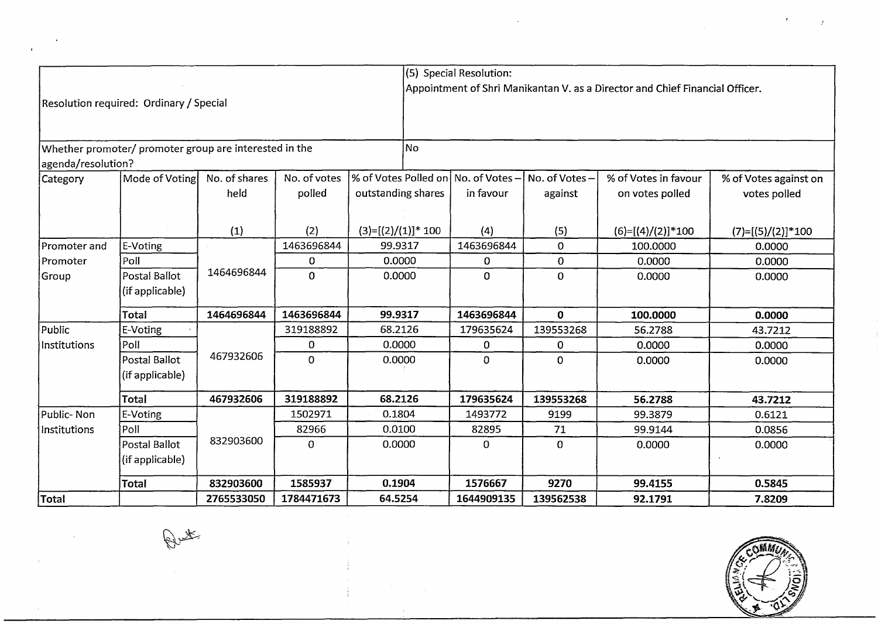|                    |                                                        |               |              |                                                    | (5) Special Resolution: |                |                                                                              |                       |
|--------------------|--------------------------------------------------------|---------------|--------------|----------------------------------------------------|-------------------------|----------------|------------------------------------------------------------------------------|-----------------------|
|                    |                                                        |               |              |                                                    |                         |                | Appointment of Shri Manikantan V. as a Director and Chief Financial Officer. |                       |
|                    | Resolution required: Ordinary / Special                |               |              |                                                    |                         |                |                                                                              |                       |
|                    |                                                        |               |              |                                                    |                         |                |                                                                              |                       |
|                    |                                                        |               |              |                                                    |                         |                |                                                                              |                       |
|                    | Whether promoter/ promoter group are interested in the |               |              | <b>No</b>                                          |                         |                |                                                                              |                       |
| agenda/resolution? |                                                        |               |              |                                                    |                         |                |                                                                              |                       |
| Category           | Mode of Voting                                         | No. of shares | No. of votes | % of Votes Polled on No. of Votes - No. of Votes - |                         |                | % of Votes in favour                                                         | % of Votes against on |
|                    |                                                        | held          | polled       | outstanding shares                                 | in favour               | against        | on votes polled                                                              | votes polled          |
|                    |                                                        |               |              |                                                    |                         |                |                                                                              |                       |
|                    |                                                        | (1)           | (2)          | $(3)=[(2)/(1)]$ * 100                              | (4)                     | (5)            | $(6)=[(4)/(2)]*100$                                                          | $(7)=[(5)/(2)]*100$   |
| Promoter and       | E-Voting                                               |               | 1463696844   | 99.9317                                            | 1463696844              | $\overline{0}$ | 100.0000                                                                     | 0.0000                |
| Promoter           | Poll                                                   |               | 0            | 0.0000                                             | 0                       | $\mathbf 0$    | 0.0000                                                                       | 0.0000                |
| Group              | Postal Ballot                                          | 1464696844    | $\Omega$     | 0.0000                                             | 0                       | 0              | 0.0000                                                                       | 0.0000                |
|                    | (if applicable)                                        |               |              |                                                    |                         |                |                                                                              |                       |
|                    | Total                                                  | 1464696844    | 1463696844   | 99.9317                                            | 1463696844              | $\mathbf{0}$   | 100.0000                                                                     | 0.0000                |
| Public             | E-Voting                                               |               | 319188892    | 68.2126                                            | 179635624               | 139553268      | 56.2788                                                                      | 43.7212               |
| Institutions       | Poll                                                   |               | 0            | 0.0000                                             | 0                       | 0              | 0.0000                                                                       | 0.0000                |
|                    | Postal Ballot                                          | 467932606     | $\mathbf 0$  | 0.0000                                             | 0                       | $\Omega$       | 0.0000                                                                       | 0.0000                |
|                    | (if applicable)                                        |               |              |                                                    |                         |                |                                                                              |                       |
|                    | <b>Total</b>                                           | 467932606     | 319188892    | 68.2126                                            | 179635624               | 139553268      | 56.2788                                                                      | 43.7212               |
| Public-Non         | E-Voting                                               |               | 1502971      | 0.1804                                             | 1493772                 | 9199           | 99.3879                                                                      | 0.6121                |
| Institutions       | Poll                                                   |               | 82966        | 0.0100                                             | 82895                   | 71             | 99.9144                                                                      | 0.0856                |
|                    | Postal Ballot                                          | 832903600     | 0            | 0.0000                                             | 0                       | 0              | 0.0000                                                                       | 0.0000                |
|                    | (if applicable)                                        |               |              |                                                    |                         |                |                                                                              |                       |
|                    | <b>Total</b>                                           | 832903600     | 1585937      | 0.1904                                             | 1576667                 | 9270           | 99.4155                                                                      | 0.5845                |
| <b>Total</b>       |                                                        | 2765533050    | 1784471673   | 64.5254                                            | 1644909135              | 139562538      | 92.1791                                                                      | 7.8209                |

 $\bar{I}$ 

÷

Î

÷ř.

 $\sim 1$ 



 $\frac{1}{2}$ 

Putt.

 $\mathcal{L}$ 

 $\mathcal{A}$ 

 $\sim$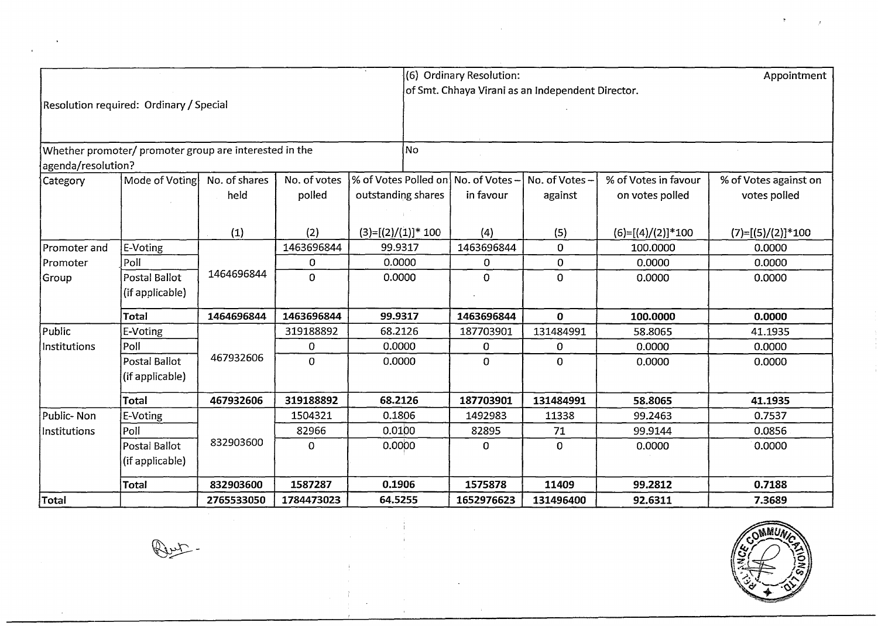|                    |                                                        |               |              |                                     | (6) Ordinary Resolution: |                                                   |                      | Appointment           |
|--------------------|--------------------------------------------------------|---------------|--------------|-------------------------------------|--------------------------|---------------------------------------------------|----------------------|-----------------------|
|                    |                                                        |               |              |                                     |                          | of Smt. Chhaya Virani as an Independent Director. |                      |                       |
|                    | Resolution required: Ordinary / Special                |               |              |                                     |                          |                                                   |                      |                       |
|                    |                                                        |               |              |                                     |                          |                                                   |                      |                       |
|                    |                                                        |               |              |                                     |                          |                                                   |                      |                       |
|                    | Whether promoter/ promoter group are interested in the |               |              | No.                                 |                          |                                                   |                      |                       |
| agenda/resolution? |                                                        |               |              |                                     |                          |                                                   |                      |                       |
| Category           | Mode of Voting                                         | No. of shares | No. of votes | % of Votes Polled on No. of Votes - |                          | No. of Votes -                                    | % of Votes in favour | % of Votes against on |
|                    |                                                        | held          | polled       | outstanding shares                  | in favour                | against                                           | on votes polled      | votes polled          |
|                    |                                                        |               |              |                                     |                          |                                                   |                      |                       |
|                    |                                                        | (1)           | (2)          | $(3)=[(2)/(1)]$ * 100               | (4)                      | (5)                                               | $(6)=[(4)/(2)]*100$  | $(7)=[(5)/(2)]*100$   |
| Promoter and       | E-Voting                                               |               | 1463696844   | 99.9317                             | 1463696844               | 0                                                 | 100.0000             | 0.0000                |
| Promoter           | Poll                                                   |               | 0            | 0.0000                              | 0                        | 0                                                 | 0.0000               | 0.0000                |
| Group              | Postal Ballot                                          | 1464696844    | $\mathbf{O}$ | 0.0000                              | $\overline{0}$           | 0                                                 | 0.0000               | 0.0000                |
|                    | (if applicable)                                        |               |              |                                     |                          |                                                   |                      |                       |
|                    | <b>Total</b>                                           | 1464696844    | 1463696844   | 99.9317                             | 1463696844               | $\mathbf 0$                                       | 100.0000             | 0.0000                |
| Public             | E-Voting                                               |               | 319188892    | 68.2126                             | 187703901                | 131484991                                         | 58.8065              | 41.1935               |
| Institutions       | Poll                                                   |               | 0            | 0.0000                              | 0                        | 0                                                 | 0.0000               | 0.0000                |
|                    | Postal Ballot                                          | 467932606     | $\Omega$     | 0.0000                              | 0                        | $\Omega$                                          | 0.0000               | 0.0000                |
|                    | (if applicable)                                        |               |              |                                     |                          |                                                   |                      |                       |
|                    | <b>Total</b>                                           | 467932606     | 319188892    | 68.2126                             | 187703901                | 131484991                                         | 58.8065              | 41.1935               |
| Public-Non         | E-Voting                                               |               | 1504321      | 0.1806                              | 1492983                  | 11338                                             | 99.2463              | 0.7537                |
| Institutions       | Poll                                                   |               | 82966        | 0.0100                              | 82895                    | 71                                                | 99.9144              | 0.0856                |
|                    | Postal Ballot                                          | 832903600     | $\Omega$     | 0.0000                              | 0                        | 0                                                 | 0.0000               | 0.0000                |
|                    | (if applicable)                                        |               |              |                                     |                          |                                                   |                      |                       |
|                    | <b>Total</b>                                           | 832903600     | 1587287      | 0.1906                              | 1575878                  | 11409                                             | 99.2812              | 0.7188                |
| Total              |                                                        | 2765533050    | 1784473023   | 64.5255                             | 1652976623               | 131496400                                         | 92.6311              | 7.3689                |

 $\label{eq:2.1} \frac{1}{\sqrt{2\pi}}\int_{\mathbb{R}^3}\frac{1}{\sqrt{2\pi}}\left(\frac{1}{\sqrt{2\pi}}\right)^2\frac{1}{\sqrt{2\pi}}\int_{\mathbb{R}^3}\frac{1}{\sqrt{2\pi}}\left(\frac{1}{\sqrt{2\pi}}\right)^2\frac{1}{\sqrt{2\pi}}\frac{1}{\sqrt{2\pi}}\frac{1}{\sqrt{2\pi}}\frac{1}{\sqrt{2\pi}}\frac{1}{\sqrt{2\pi}}\frac{1}{\sqrt{2\pi}}\frac{1}{\sqrt{2\pi}}\frac{1}{\sqrt{2\pi}}\frac{1}{\sqrt{2$ 

 $\sim 10^7$ 

 $\frac{1}{2}$ 

 $\begin{aligned} \frac{1}{\sqrt{2}}\left(\frac{1}{\sqrt{2}}\right) & = \frac{1}{2}\left(\frac{1}{\sqrt{2}}\right) \left(\frac{1}{\sqrt{2}}\right) \left(\frac{1}{\sqrt{2}}\right) \left(\frac{1}{\sqrt{2}}\right) \left(\frac{1}{\sqrt{2}}\right) \left(\frac{1}{\sqrt{2}}\right) \left(\frac{1}{\sqrt{2}}\right) \left(\frac{1}{\sqrt{2}}\right) \left(\frac{1}{\sqrt{2}}\right) \left(\frac{1}{\sqrt{2}}\right) \left(\frac{1}{\sqrt{2}}\right) \left(\frac{1}{\sqrt{2}}\right) \left$ 

 $\sim$ 



 $\label{eq:2} \mathcal{L} = \mathcal{L} \left( \mathcal{L} \right) \mathcal{L} \left( \mathcal{L} \right) \mathcal{L} \left( \mathcal{L} \right)$ 

**Quit :** 

 $\sim$ 

 $\epsilon$ 

 $\mathbf{A}$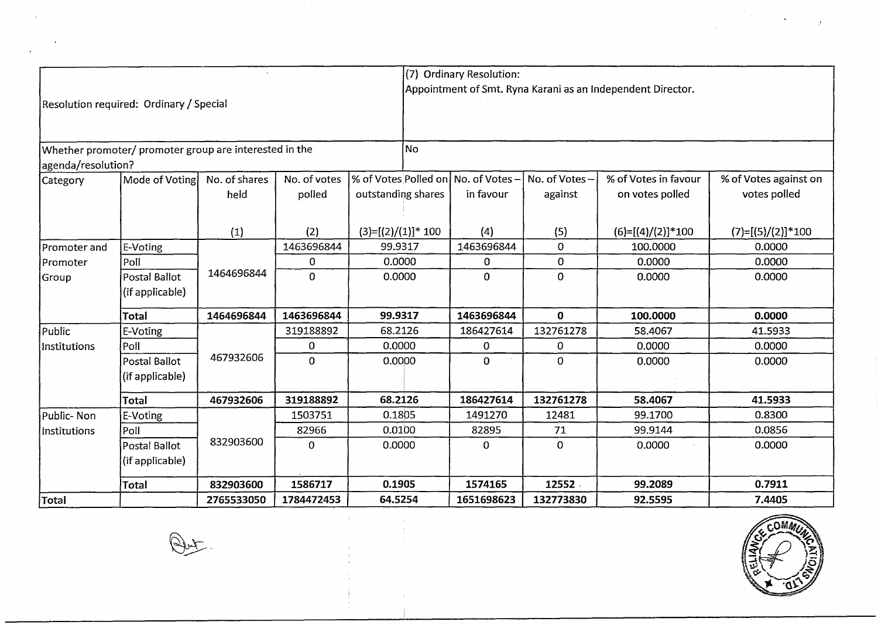|                    |                                                        |               |              |                                     | (7) Ordinary Resolution: |                |                                                             |                       |
|--------------------|--------------------------------------------------------|---------------|--------------|-------------------------------------|--------------------------|----------------|-------------------------------------------------------------|-----------------------|
|                    |                                                        |               |              |                                     |                          |                | Appointment of Smt. Ryna Karani as an Independent Director. |                       |
|                    | Resolution required: Ordinary / Special                |               |              |                                     |                          |                |                                                             |                       |
|                    |                                                        |               |              |                                     |                          |                |                                                             |                       |
|                    | Whether promoter/ promoter group are interested in the |               |              | No                                  |                          |                |                                                             |                       |
| agenda/resolution? |                                                        |               |              |                                     |                          |                |                                                             |                       |
| Category           | Mode of Voting                                         | No. of shares | No. of votes | % of Votes Polled on No. of Votes - |                          | No. of Votes-  | % of Votes in favour                                        | % of Votes against on |
|                    |                                                        | held          | polled       | outstanding shares                  | in favour                | against        | on votes polled                                             | votes polled          |
|                    |                                                        |               |              |                                     |                          |                |                                                             |                       |
|                    |                                                        | (1)           | (2)          | $(3)=[(2)/(1)]$ * 100               | (4)                      | (5)            | $(6)=[(4)/(2)]*100$                                         | $(7)=[(5)/(2)]*100$   |
| Promoter and       | E-Voting                                               |               | 1463696844   | 99.9317                             | 1463696844               | $\overline{0}$ | 100.0000                                                    | 0.0000                |
| Promoter           | Poll                                                   |               | 0            | 0.0000                              | 0                        | $\overline{0}$ | 0.0000                                                      | 0.0000                |
| Group              | Postal Ballot                                          | 1464696844    | $\mathbf{0}$ | 0.0000                              | $\mathbf{O}$             | $\overline{0}$ | 0.0000                                                      | 0.0000                |
|                    | (if applicable)                                        |               |              |                                     |                          |                |                                                             |                       |
|                    | Total                                                  | 1464696844    | 1463696844   | 99.9317                             | 1463696844               | $\mathbf{0}$   | 100.0000                                                    | 0.0000                |
| Public             | E-Voting                                               |               | 319188892    | 68.2126                             | 186427614                | 132761278      | 58.4067                                                     | 41.5933               |
| Institutions       | Poll                                                   |               | $\mathbf 0$  | 0.0000                              | 0                        | 0              | 0.0000                                                      | 0.0000                |
|                    | Postal Ballot                                          | 467932606     | $\mathbf 0$  | 0.0000                              | 0                        | $\Omega$       | 0.0000                                                      | 0.0000                |
|                    | (if applicable)                                        |               |              |                                     |                          |                |                                                             |                       |
|                    | <b>Total</b>                                           | 467932606     | 319188892    | 68.2126                             | 186427614                | 132761278      | 58.4067                                                     | 41.5933               |
| Public-Non         | E-Voting                                               |               | 1503751      | 0.1805                              | 1491270                  | 12481          | 99.1700                                                     | 0.8300                |
| Institutions       | Poll                                                   |               | 82966        | 0.0100                              | 82895                    | 71             | 99.9144                                                     | 0.0856                |
|                    | Postal Ballot                                          | 832903600     | $\mathbf 0$  | 0.0000                              | 0                        | $\mathbf 0$    | 0.0000                                                      | 0.0000                |
|                    | (if applicable)                                        |               |              |                                     |                          |                |                                                             |                       |
|                    | Total                                                  | 832903600     | 1586717      | 0.1905                              | 1574165                  | 12552          | 99.2089                                                     | 0.7911                |
| Total              |                                                        | 2765533050    | 1784472453   | 64.5254                             | 1651698623               | 132773830      | 92.5595                                                     | 7.4405                |

 $\sim$ 



 $\label{eq:2.1} \frac{1}{\sqrt{2}}\left(\frac{1}{\sqrt{2}}\right)^{2} \left(\frac{1}{\sqrt{2}}\right)^{2} \left(\frac{1}{\sqrt{2}}\right)^{2} \left(\frac{1}{\sqrt{2}}\right)^{2} \left(\frac{1}{\sqrt{2}}\right)^{2} \left(\frac{1}{\sqrt{2}}\right)^{2} \left(\frac{1}{\sqrt{2}}\right)^{2} \left(\frac{1}{\sqrt{2}}\right)^{2} \left(\frac{1}{\sqrt{2}}\right)^{2} \left(\frac{1}{\sqrt{2}}\right)^{2} \left(\frac{1}{\sqrt{2}}\right)^{2} \left(\$ 

**Put** 

 $\bar{L}$ 

 $\mathbf{r}$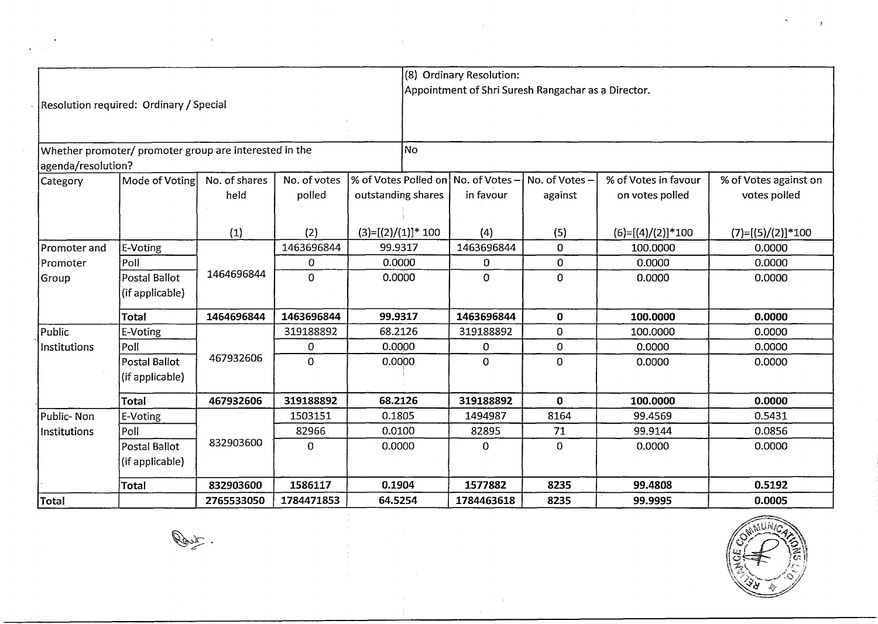|                    |                                                        |               |              |                       | (8) Ordinary Resolution: |                                                     |                      |                       |
|--------------------|--------------------------------------------------------|---------------|--------------|-----------------------|--------------------------|-----------------------------------------------------|----------------------|-----------------------|
|                    | Resolution required: Ordinary / Special                |               |              |                       |                          | Appointment of Shri Suresh Rangachar as a Director. |                      |                       |
|                    |                                                        |               |              |                       |                          |                                                     |                      |                       |
|                    |                                                        |               |              |                       |                          |                                                     |                      |                       |
|                    | Whether promoter/ promoter group are interested in the |               |              | No                    |                          |                                                     |                      |                       |
| agenda/resolution? |                                                        |               |              |                       |                          |                                                     |                      |                       |
| Category           | Mode of Voting                                         | No. of shares | No. of votes | % of Votes Polled on  | $ $ No. of Votes $-$     | No. of Votes-                                       | % of Votes in favour | % of Votes against on |
|                    |                                                        | held          | polled       | outstanding shares    | in favour                | against                                             | on votes polled      | votes polled          |
|                    |                                                        |               |              |                       |                          |                                                     |                      |                       |
|                    |                                                        | (1)           | (2)          | $(3)=[(2)/(1)]$ * 100 | (4)                      | (5)                                                 | $(6)=[(4)/(2)]*100$  | $(7)=[(5)/(2)]*100$   |
| Promoter and       | E-Voting                                               |               | 1463696844   | 99.9317               | 1463696844               | 0                                                   | 100.0000             | 0.0000                |
| Promoter           | Poll                                                   |               | 0            | 0.0000                | $\mathbf 0$              | 0                                                   | 0.0000               | 0.0000                |
| Group              | Postal Ballot                                          | 1464696844    | $\mathbf 0$  | 0.0000                | 0                        | 0                                                   | 0.0000               | 0.0000                |
|                    | (if applicable)                                        |               |              |                       |                          |                                                     |                      |                       |
|                    | <b>Total</b>                                           | 1464696844    | 1463696844   | 99.9317               | 1463696844               | $\mathbf 0$                                         | 100.0000             | 0.0000                |
| Public             | E-Voting                                               |               | 319188892    | 68.2126               | 319188892                | 0                                                   | 100.0000             | 0.0000                |
| Institutions       | Poll                                                   |               | 0            | 0.0000                | 0                        | 0                                                   | 0.0000               | 0.0000                |
|                    | Postal Ballot                                          | 467932606     | $\mathbf 0$  | 0.0000                | 0                        | 0                                                   | 0.0000               | 0.0000                |
|                    | (if applicable)                                        |               |              |                       |                          |                                                     |                      |                       |
|                    | <b>Total</b>                                           | 467932606     | 319188892    | 68.2126               | 319188892                | $\mathbf{0}$                                        | 100.0000             | 0.0000                |
| Public-Non         | E-Voting                                               |               | 1503151      | 0.1805                | 1494987                  | 8164                                                | 99.4569              | 0.5431                |
| Institutions       | Poll                                                   |               | 82966        | 0.0100                | 82895                    | 71                                                  | 99.9144              | 0.0856                |
|                    | Postal Ballot                                          | 832903600     | $\Omega$     | 0.0000                | 0                        | $\Omega$                                            | 0.0000               | 0.0000                |
|                    | (if applicable)                                        |               |              |                       |                          |                                                     |                      |                       |
|                    | Total                                                  | 832903600     | 1586117      | 0.1904                | 1577882                  | 8235                                                | 99.4808              | 0.5192                |
| Total              |                                                        | 2765533050    | 1784471853   | 64.5254               | 1784463618               | 8235                                                | 99.9995              | 0.0005                |
|                    | $\overline{\phantom{0}}$                               |               |              |                       |                          |                                                     |                      | <b>ANUNG</b>          |

 $\sim$ 

 $\frac{1}{4}$ 

 $\label{eq:3.1} \frac{1}{2} \sum_{i=1}^n \frac{1}{2} \sum_{j=1}^n \frac{1}{2} \sum_{j=1}^n \frac{1}{2} \sum_{j=1}^n \frac{1}{2} \sum_{j=1}^n \frac{1}{2} \sum_{j=1}^n \frac{1}{2} \sum_{j=1}^n \frac{1}{2} \sum_{j=1}^n \frac{1}{2} \sum_{j=1}^n \frac{1}{2} \sum_{j=1}^n \frac{1}{2} \sum_{j=1}^n \frac{1}{2} \sum_{j=1}^n \frac{1}{2} \sum_{j=1}^n \frac{$ 

 $\hat{\mathcal{L}}$ 



Route

 $\bar{z}$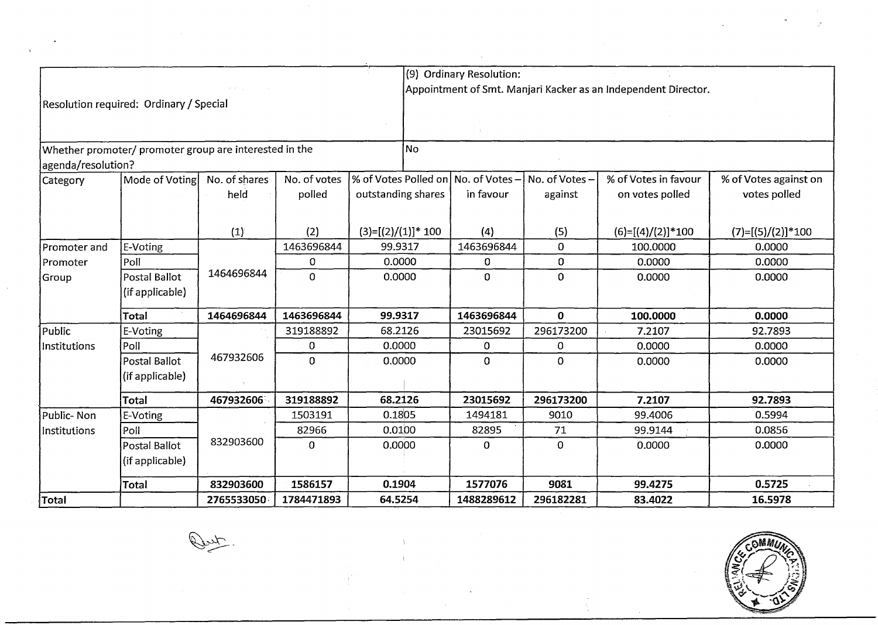|                    |                                                        |               |              |                                     | (9) Ordinary Resolution: |                | Appointment of Smt. Manjari Kacker as an Independent Director. |                       |
|--------------------|--------------------------------------------------------|---------------|--------------|-------------------------------------|--------------------------|----------------|----------------------------------------------------------------|-----------------------|
|                    | Resolution required: Ordinary / Special                |               |              |                                     |                          |                |                                                                |                       |
| agenda/resolution? | Whether promoter/ promoter group are interested in the |               |              | i No                                |                          |                |                                                                |                       |
| Category           | Mode of Voting                                         | No. of shares | No. of votes | % of Votes Polled on No. of Votes - |                          | No. of Votes-  | % of Votes in favour                                           | % of Votes against on |
|                    |                                                        | held          | polled       | outstanding shares                  | in favour                | against        | on votes polled                                                | votes polled          |
|                    |                                                        | (1)           | (2)          | $(3)=[(2)/(1)]*100$                 | (4)                      | (5)            | $(6)=[(4)/(2)]*100$                                            | $(7)=[(5)/(2)]*100$   |
| Promoter and       | E-Voting                                               |               | 1463696844   | 99.9317                             | 1463696844               | $\overline{0}$ | 100.0000                                                       | 0.0000                |
| Promoter           | Poll                                                   |               | 0            | 0.0000                              | 0                        | 0              | 0.0000                                                         | 0.0000                |
| Group              | Postal Ballot                                          | 1464696844    | $\mathbf 0$  | 0.0000                              | 0                        | $\Omega$       | 0.0000                                                         | 0.0000                |
|                    | (if applicable)                                        |               |              |                                     |                          |                |                                                                |                       |
|                    | Total                                                  | 1464696844    | 1463696844   | 99.9317                             | 1463696844               | $\mathbf 0$    | 100.0000                                                       | 0.0000                |
| Public             | E-Voting                                               |               | 319188892    | 68.2126                             | 23015692                 | 296173200      | 7.2107                                                         | 92.7893               |
| Institutions       | Poll                                                   |               | 0            | 0.0000                              | 0                        | $\Omega$       | 0.0000                                                         | 0.0000                |
|                    | Postal Ballot                                          | 467932606     | $\mathbf{0}$ | 0.0000                              | 0                        | $\mathbf 0$    | 0.0000                                                         | 0.0000                |
|                    | (if applicable)                                        |               |              |                                     |                          |                |                                                                |                       |
|                    | Total                                                  | 467932606     | 319188892    | 68.2126                             | 23015692                 | 296173200      | 7.2107                                                         | 92.7893               |
| Public-Non         | E-Voting                                               |               | 1503191      | 0.1805                              | 1494181                  | 9010           | 99.4006                                                        | 0.5994                |
| Institutions       | Poll                                                   |               | 82966        | 0.0100                              | 82895                    | 71             | 99.9144                                                        | 0.0856                |
|                    | Postal Ballot                                          | 832903600     | $\mathbf 0$  | 0.0000                              | 0                        | 0              | 0.0000                                                         | 0.0000                |
|                    | (if applicable)                                        |               |              |                                     |                          |                |                                                                |                       |
|                    | <b>Total</b>                                           | 832903600     | 1586157      | 0.1904                              | 1577076                  | 9081           | 99.4275                                                        | 0.5725                |
| Total              |                                                        | 2765533050    | 1784471893   | 64.5254                             | 1488289612               | 296182281      | 83.4022                                                        | 16.5978               |



**Duty**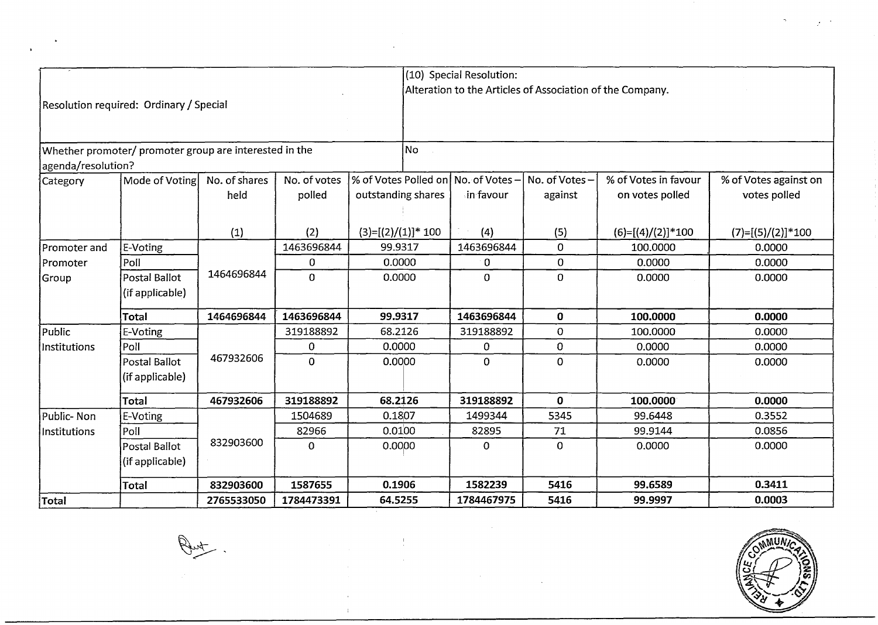|                    |                                                        |               |              |                                     | (10) Special Resolution: |                                                           |                      |                       |
|--------------------|--------------------------------------------------------|---------------|--------------|-------------------------------------|--------------------------|-----------------------------------------------------------|----------------------|-----------------------|
|                    |                                                        |               |              |                                     |                          | Alteration to the Articles of Association of the Company. |                      |                       |
|                    | Resolution required: Ordinary / Special                |               |              |                                     |                          |                                                           |                      |                       |
|                    |                                                        |               |              |                                     |                          |                                                           |                      |                       |
|                    |                                                        |               |              |                                     |                          |                                                           |                      |                       |
|                    | Whether promoter/ promoter group are interested in the |               |              | No                                  |                          |                                                           |                      |                       |
| agenda/resolution? |                                                        |               |              |                                     |                          |                                                           |                      |                       |
| Category           | Mode of Voting                                         | No. of shares | No. of votes | % of Votes Polled on No. of Votes - |                          | No. of Votes-                                             | % of Votes in favour | % of Votes against on |
|                    |                                                        | held          | polled       | outstanding shares                  | in favour                | against                                                   | on votes polled      | votes polled          |
|                    |                                                        |               |              |                                     |                          |                                                           |                      |                       |
|                    |                                                        | (1)           | (2)          | $(3)=[(2)/(1)]*100$                 | (4)                      | (5)                                                       | $(6)=[(4)/(2)]*100$  | $(7)=[(5)/(2)]*100$   |
| Promoter and       | <b>E-Voting</b>                                        |               | 1463696844   | 99.9317                             | 1463696844               | $\mathbf 0$                                               | 100.0000             | 0.0000                |
| Promoter           | Poll                                                   |               | 0            | 0.0000                              | 0                        | $\mathbf{O}$                                              | 0.0000               | 0.0000                |
| Group              | Postal Ballot                                          | 1464696844    | $\mathbf 0$  | 0.0000                              | $\overline{0}$           | $\mathbf{O}$                                              | 0.0000               | 0.0000                |
|                    | (if applicable)                                        |               |              |                                     |                          |                                                           |                      |                       |
|                    |                                                        |               |              |                                     |                          |                                                           |                      |                       |
|                    | Total                                                  | 1464696844    | 1463696844   | 99.9317                             | 1463696844               | $\mathbf 0$                                               | 100.0000             | 0.0000                |
| Public             | E-Voting                                               |               | 319188892    | 68.2126                             | 319188892                | $\overline{O}$                                            | 100.0000             | 0.0000                |
| Institutions       | Poll                                                   |               | 0            | 0.0000                              | 0                        | $\mathbf 0$                                               | 0.0000               | 0.0000                |
|                    | Postal Ballot                                          | 467932606     | $\mathbf 0$  | 0.0000                              | $\mathbf{O}$             | 0                                                         | 0.0000               | 0.0000                |
|                    | (if applicable)                                        |               |              |                                     |                          |                                                           |                      |                       |
|                    | Total                                                  | 467932606     | 319188892    | 68.2126                             | 319188892                | $\mathbf{0}$                                              | 100.0000             | 0.0000                |
| Public- Non        | E-Voting                                               |               | 1504689      | 0.1807                              | 1499344                  | 5345                                                      | 99.6448              | 0.3552                |
| Institutions       | Poll                                                   |               | 82966        | 0.0100                              | 82895                    | 71                                                        | 99.9144              | 0.0856                |
|                    | Postal Ballot                                          | 832903600     | $\mathbf 0$  | 0.0000                              | $\mathbf{O}$             | $\mathbf 0$                                               | 0.0000               | 0.0000                |
|                    | (if applicable)                                        |               |              |                                     |                          |                                                           |                      |                       |
|                    | Total                                                  | 832903600     | 1587655      | 0.1906                              | 1582239                  | 5416                                                      | 99.6589              | 0.3411                |
| Total              |                                                        | 2765533050    | 1784473391   | 64.5255                             | 1784467975               | 5416                                                      | 99.9997              | 0.0003                |
|                    |                                                        |               |              |                                     |                          |                                                           |                      |                       |
|                    |                                                        |               |              |                                     |                          |                                                           |                      |                       |
|                    |                                                        |               |              |                                     |                          |                                                           |                      |                       |
|                    |                                                        |               |              |                                     |                          |                                                           |                      |                       |
|                    |                                                        |               |              |                                     |                          |                                                           |                      |                       |
|                    |                                                        |               |              |                                     |                          |                                                           |                      |                       |

 $\frac{1}{4}$ 



 $\sigma_{\rm{max}}=100$ 

 $\label{eq:2.1} \frac{1}{3} \sum_{i=1}^n \frac{1}{(1-\alpha)^2} \sum_{i=1}^n \frac{1}{(1-\alpha)^2} \sum_{i=1}^n \frac{1}{(1-\alpha)^2} \sum_{i=1}^n \frac{1}{(1-\alpha)^2} \sum_{i=1}^n \frac{1}{(1-\alpha)^2} \sum_{i=1}^n \frac{1}{(1-\alpha)^2} \sum_{i=1}^n \frac{1}{(1-\alpha)^2} \sum_{i=1}^n \frac{1}{(1-\alpha)^2} \sum_{i=1}^n \frac{1}{(1-\alpha)^2} \sum_{i=1}^n \frac{1}{($